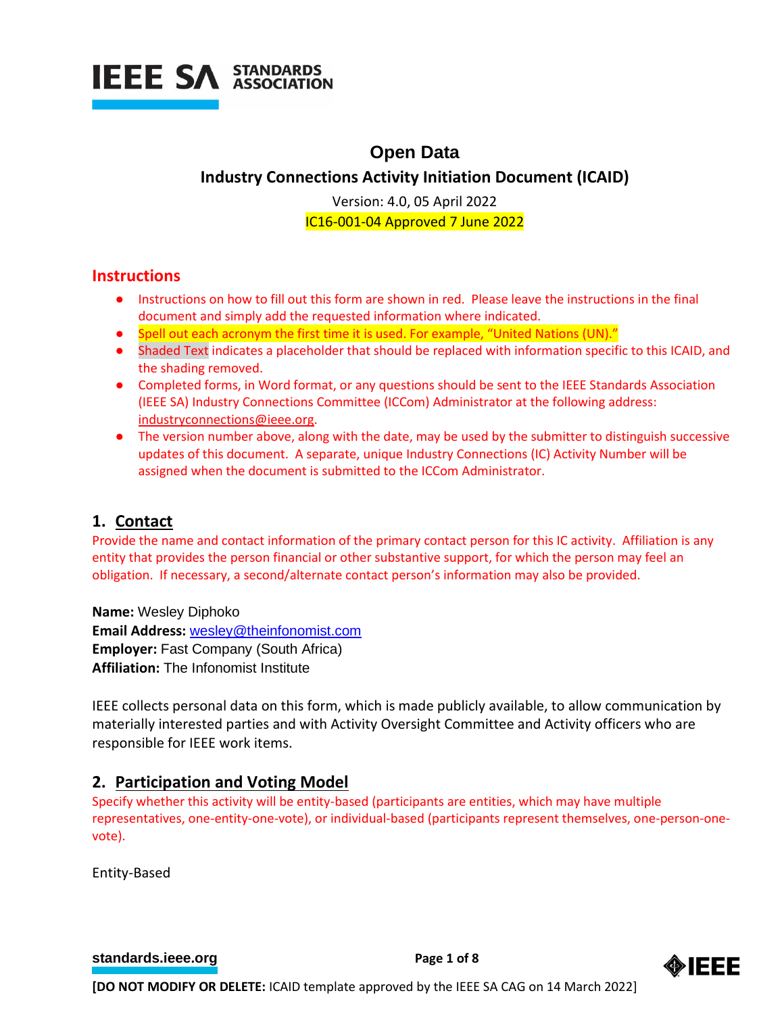

# **Open Data**

## **Industry Connections Activity Initiation Document (ICAID)**

Version: 4.0, 05 April 2022 IC16-001-04 Approved 7 June 2022

## **Instructions**

- Instructions on how to fill out this form are shown in red. Please leave the instructions in the final document and simply add the requested information where indicated.
- Spell out each acronym the first time it is used. For example, "United Nations (UN)."
- Shaded Text indicates a placeholder that should be replaced with information specific to this ICAID, and the shading removed.
- Completed forms, in Word format, or any questions should be sent to the IEEE Standards Association (IEEE SA) Industry Connections Committee (ICCom) Administrator at the following address: [industryconnections@ieee.org.](mailto:industryconnections@ieee.org)
- The version number above, along with the date, may be used by the submitter to distinguish successive updates of this document. A separate, unique Industry Connections (IC) Activity Number will be assigned when the document is submitted to the ICCom Administrator.

## **1. Contact**

Provide the name and contact information of the primary contact person for this IC activity. Affiliation is any entity that provides the person financial or other substantive support, for which the person may feel an obligation. If necessary, a second/alternate contact person's information may also be provided.

**Name:** Wesley Diphoko **Email Address:** [wesley@theinfonomist.com](mailto:wesley@theinfonomist.com) **Employer:** Fast Company (South Africa) **Affiliation:** The Infonomist Institute

IEEE collects personal data on this form, which is made publicly available, to allow communication by materially interested parties and with Activity Oversight Committee and Activity officers who are responsible for IEEE work items.

## **2. Participation and Voting Model**

Specify whether this activity will be entity-based (participants are entities, which may have multiple representatives, one-entity-one-vote), or individual-based (participants represent themselves, one-person-onevote).

Entity-Based

**[standards.ieee.org](http://standards.ieee.org/) example 20 and 20 and 20 and 20 and 20 and 20 and 20 and 20 and 20 and 20 and 20 and 20 and 20 and 20 and 20 and 20 and 20 and 20 and 20 and 20 and 20 and 20 and 20 and 20 and 20 and 20 and 20 and 20** 

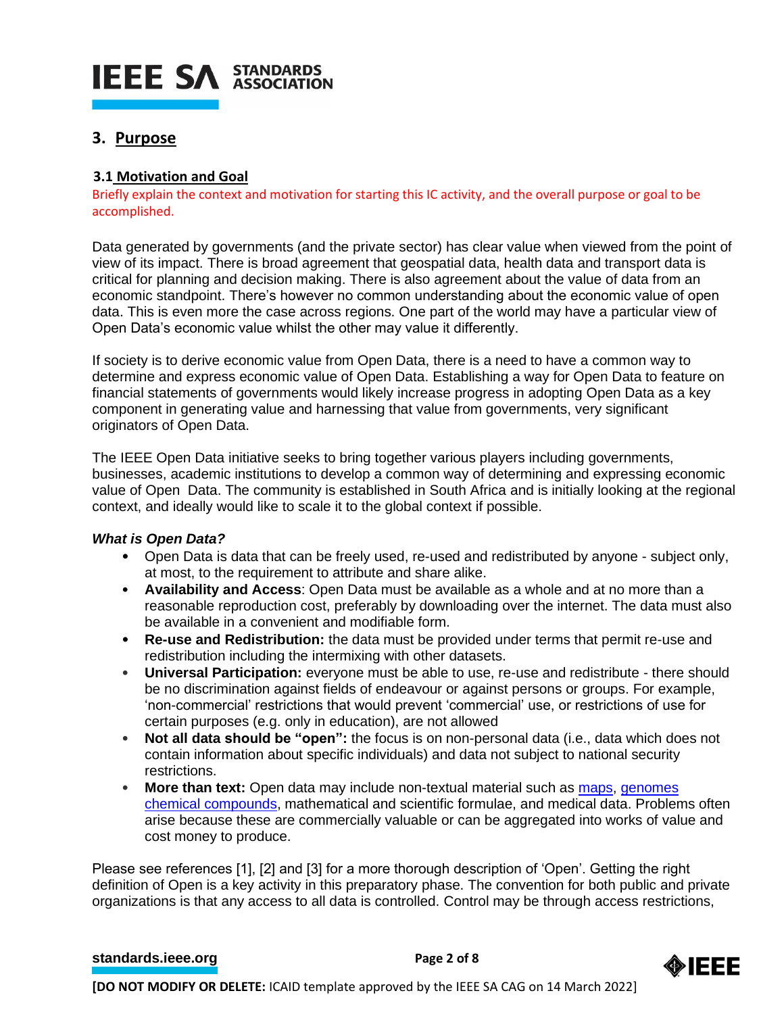# **IEEE SA STANDARDS**

## **3. Purpose**

## **3.1 Motivation and Goal**

Briefly explain the context and motivation for starting this IC activity, and the overall purpose or goal to be accomplished.

Data generated by governments (and the private sector) has clear value when viewed from the point of view of its impact. There is broad agreement that geospatial data, health data and transport data is critical for planning and decision making. There is also agreement about the value of data from an economic standpoint. There's however no common understanding about the economic value of open data. This is even more the case across regions. One part of the world may have a particular view of Open Data's economic value whilst the other may value it differently.

If society is to derive economic value from Open Data, there is a need to have a common way to determine and express economic value of Open Data. Establishing a way for Open Data to feature on financial statements of governments would likely increase progress in adopting Open Data as a key component in generating value and harnessing that value from governments, very significant originators of Open Data.

The IEEE Open Data initiative seeks to bring together various players including governments, businesses, academic institutions to develop a common way of determining and expressing economic value of Open Data. The community is established in South Africa and is initially looking at the regional context, and ideally would like to scale it to the global context if possible.

## *What is Open Data?*

- Open Data is data that can be freely used, re-used and redistributed by anyone subject only, at most, to the requirement to attribute and share alike.
- **Availability and Access**: Open Data must be available as a whole and at no more than a reasonable reproduction cost, preferably by downloading over the internet. The data must also be available in a convenient and modifiable form.
- **Re-use and Redistribution:** the data must be provided under terms that permit re-use and redistribution including the intermixing with other datasets.
- **Universal Participation:** everyone must be able to use, re-use and redistribute there should be no discrimination against fields of endeavour or against persons or groups. For example, 'non-commercial' restrictions that would prevent 'commercial' use, or restrictions of use for certain purposes (e.g. only in education), are not allowed
- **Not all data should be "open":** the focus is on non-personal data (i.e., data which does not contain information about specific individuals) and data not subject to national security restrictions.
- More than text: Open data may include non-textual material such as [maps,](https://en.wikipedia.org/wiki/Map) [genomes](https://en.wikipedia.org/wiki/Genome) [chemical compounds,](https://en.wikipedia.org/wiki/Chemical_compound) mathematical and scientific formulae, and medical data. Problems often arise because these are commercially valuable or can be aggregated into works of value and cost money to produce.

Please see references [1], [2] and [3] for a more thorough description of 'Open'. Getting the right definition of Open is a key activity in this preparatory phase. The convention for both public and private organizations is that any access to all data is controlled. Control may be through access restrictions,

#### **[standards.ieee.org](http://standards.ieee.org/)**<br> **Page 2 of 8**

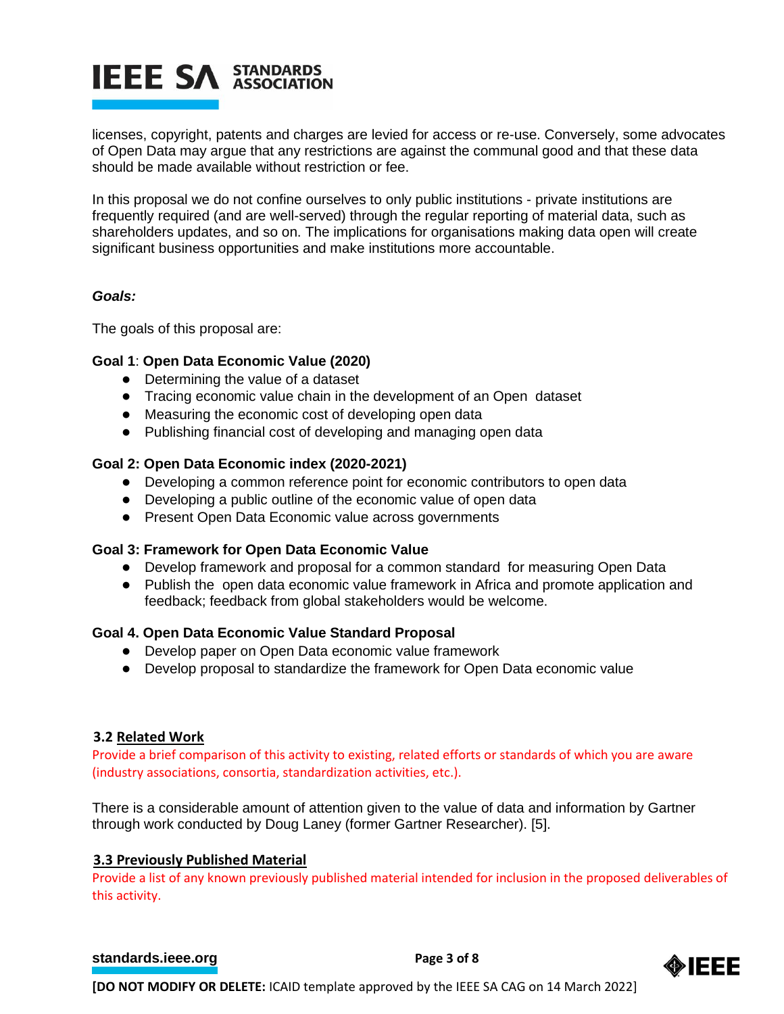# **IEEE SA STANDARDS**

licenses, copyright, patents and charges are levied for access or re-use. Conversely, some advocates of Open Data may argue that any restrictions are against the communal good and that these data should be made available without restriction or fee.

In this proposal we do not confine ourselves to only public institutions - private institutions are frequently required (and are well-served) through the regular reporting of material data, such as shareholders updates, and so on. The implications for organisations making data open will create significant business opportunities and make institutions more accountable.

#### *Goals:*

The goals of this proposal are:

## **Goal 1**: **Open Data Economic Value (2020)**

- Determining the value of a dataset
- Tracing economic value chain in the development of an Open dataset
- Measuring the economic cost of developing open data
- Publishing financial cost of developing and managing open data

#### **Goal 2: Open Data Economic index (2020-2021)**

- Developing a common reference point for economic contributors to open data
- Developing a public outline of the economic value of open data
- Present Open Data Economic value across governments

#### **Goal 3: Framework for Open Data Economic Value**

- Develop framework and proposal for a common standard for measuring Open Data
- Publish the open data economic value framework in Africa and promote application and feedback; feedback from global stakeholders would be welcome.

#### **Goal 4. Open Data Economic Value Standard Proposal**

- Develop paper on Open Data economic value framework
- Develop proposal to standardize the framework for Open Data economic value

#### **3.2 Related Work**

Provide a brief comparison of this activity to existing, related efforts or standards of which you are aware (industry associations, consortia, standardization activities, etc.).

There is a considerable amount of attention given to the value of data and information by Gartner through work conducted by Doug Laney (former Gartner Researcher). [5].

## **3.3 Previously Published Material**

Provide a list of any known previously published material intended for inclusion in the proposed deliverables of this activity.

#### **[standards.ieee.org](http://standards.ieee.org/)**<br> **Page 3 of 8**

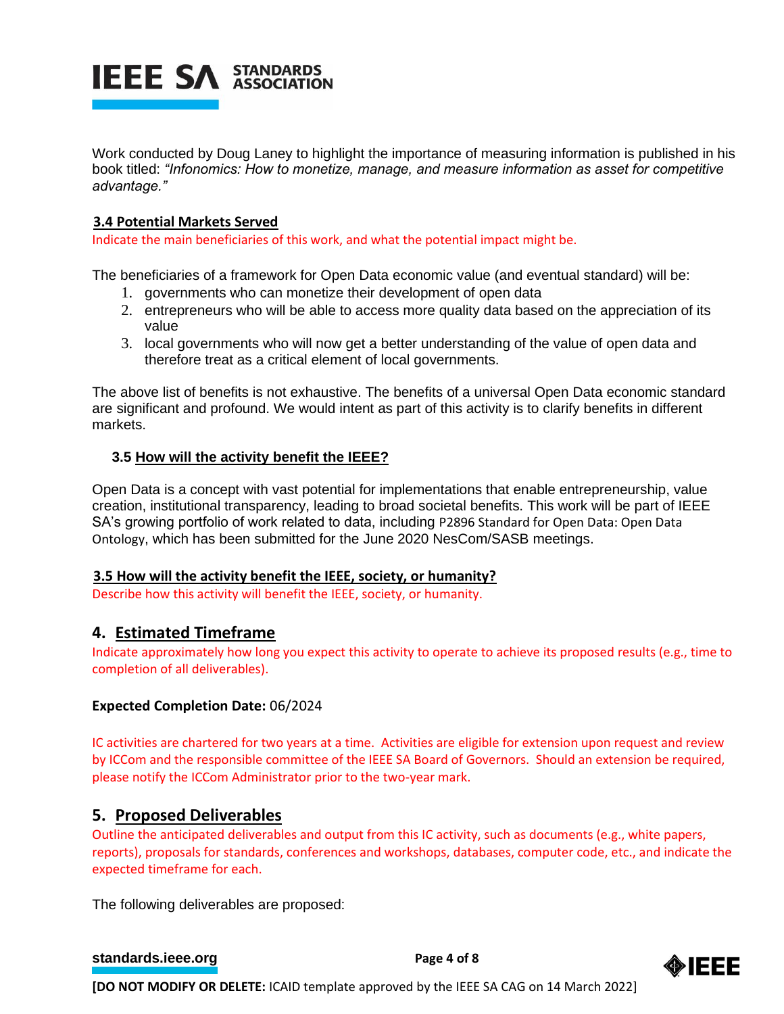

Work conducted by Doug Laney to highlight the importance of measuring information is published in his book titled: *"Infonomics: How to monetize, manage, and measure information as asset for competitive advantage."*

#### **3.4 Potential Markets Served**

Indicate the main beneficiaries of this work, and what the potential impact might be.

The beneficiaries of a framework for Open Data economic value (and eventual standard) will be:

- 1. governments who can monetize their development of open data
- 2. entrepreneurs who will be able to access more quality data based on the appreciation of its value
- 3. local governments who will now get a better understanding of the value of open data and therefore treat as a critical element of local governments.

The above list of benefits is not exhaustive. The benefits of a universal Open Data economic standard are significant and profound. We would intent as part of this activity is to clarify benefits in different markets.

#### **3.5 How will the activity benefit the IEEE?**

Open Data is a concept with vast potential for implementations that enable entrepreneurship, value creation, institutional transparency, leading to broad societal benefits. This work will be part of IEEE SA's growing portfolio of work related to data, including P2896 Standard for Open Data: Open Data Ontology, which has been submitted for the June 2020 NesCom/SASB meetings.

#### **3.5 How will the activity benefit the IEEE, society, or humanity?**

Describe how this activity will benefit the IEEE, society, or humanity.

## **4. Estimated Timeframe**

Indicate approximately how long you expect this activity to operate to achieve its proposed results (e.g., time to completion of all deliverables).

#### **Expected Completion Date:** 06/2024

IC activities are chartered for two years at a time. Activities are eligible for extension upon request and review by ICCom and the responsible committee of the IEEE SA Board of Governors. Should an extension be required, please notify the ICCom Administrator prior to the two-year mark.

## **5. Proposed Deliverables**

Outline the anticipated deliverables and output from this IC activity, such as documents (e.g., white papers, reports), proposals for standards, conferences and workshops, databases, computer code, etc., and indicate the expected timeframe for each.

The following deliverables are proposed:

#### **[standards.ieee.org](http://standards.ieee.org/) EXECUTE: Page 4 of 8**

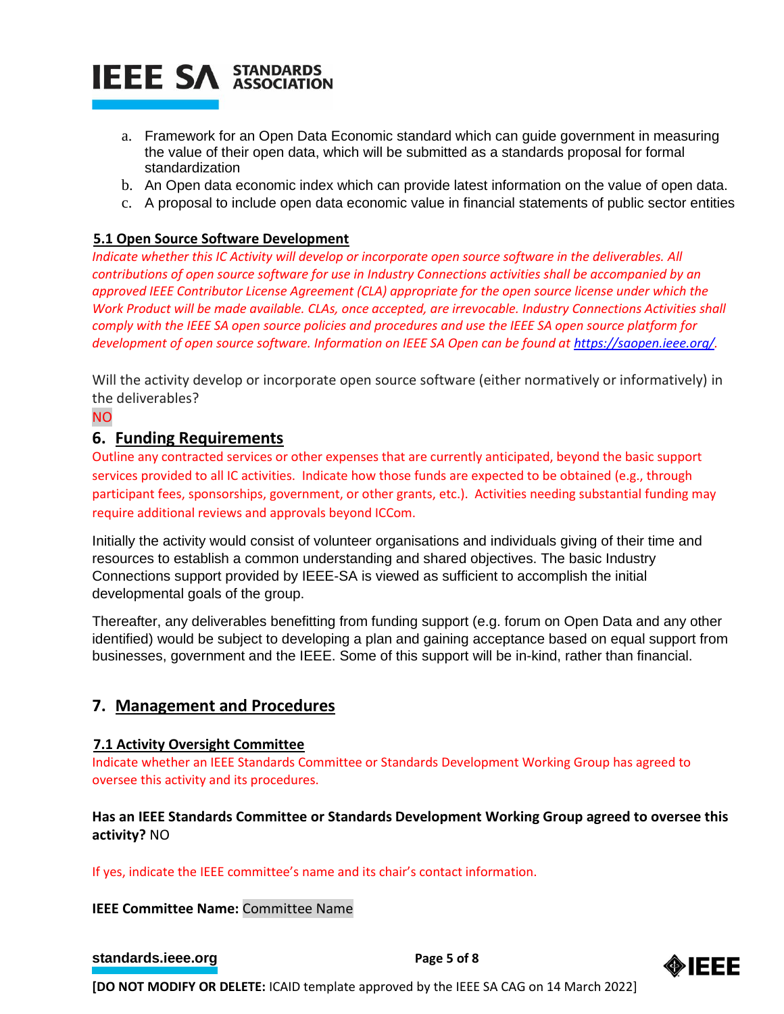

- a. Framework for an Open Data Economic standard which can guide government in measuring the value of their open data, which will be submitted as a standards proposal for formal standardization
- b. An Open data economic index which can provide latest information on the value of open data.
- c. A proposal to include open data economic value in financial statements of public sector entities

## **5.1 Open Source Software Development**

*Indicate whether this IC Activity will develop or incorporate open source software in the deliverables. All contributions of open source software for use in Industry Connections activities shall be accompanied by an approved IEEE Contributor License Agreement (CLA) appropriate for the open source license under which the Work Product will be made available. CLAs, once accepted, are irrevocable. Industry Connections Activities shall comply with the IEEE SA open source policies and procedures and use the IEEE SA open source platform for development of open source software. Information on IEEE SA Open can be found at [https://saopen.ieee.org/.](https://saopen.ieee.org/)* 

Will the activity develop or incorporate open source software (either normatively or informatively) in the deliverables?

#### NO

#### **6. Funding Requirements**

Outline any contracted services or other expenses that are currently anticipated, beyond the basic support services provided to all IC activities. Indicate how those funds are expected to be obtained (e.g., through participant fees, sponsorships, government, or other grants, etc.). Activities needing substantial funding may require additional reviews and approvals beyond ICCom.

Initially the activity would consist of volunteer organisations and individuals giving of their time and resources to establish a common understanding and shared objectives. The basic Industry Connections support provided by IEEE-SA is viewed as sufficient to accomplish the initial developmental goals of the group.

Thereafter, any deliverables benefitting from funding support (e.g. forum on Open Data and any other identified) would be subject to developing a plan and gaining acceptance based on equal support from businesses, government and the IEEE. Some of this support will be in-kind, rather than financial.

## **7. Management and Procedures**

#### **7.1 Activity Oversight Committee**

Indicate whether an IEEE Standards Committee or Standards Development Working Group has agreed to oversee this activity and its procedures.

## **Has an IEEE Standards Committee or Standards Development Working Group agreed to oversee this activity?** NO

If yes, indicate the IEEE committee's name and its chair's contact information.

#### **IEEE Committee Name:** Committee Name

#### **[standards.ieee.org](http://standards.ieee.org/)**<br> **Page 5** of 8

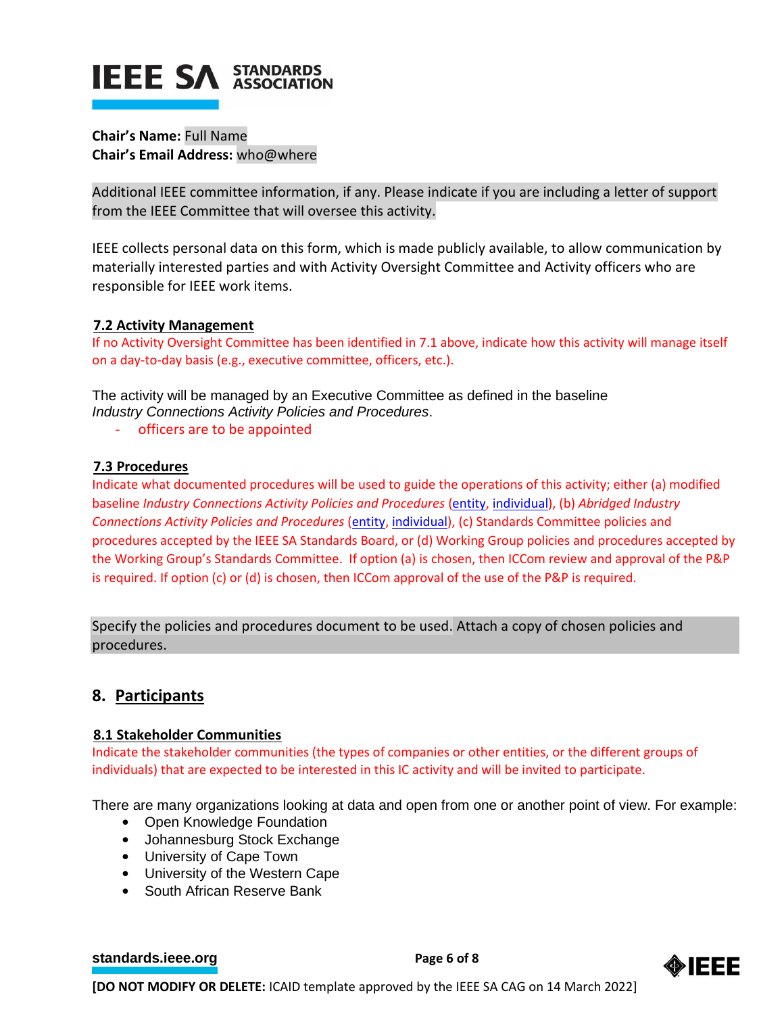# **IEEE SA STANDARDS**

**Chair's Name:** Full Name **Chair's Email Address:** who@where

Additional IEEE committee information, if any. Please indicate if you are including a letter of support from the IEEE Committee that will oversee this activity.

IEEE collects personal data on this form, which is made publicly available, to allow communication by materially interested parties and with Activity Oversight Committee and Activity officers who are responsible for IEEE work items.

## **7.2 Activity Management**

If no Activity Oversight Committee has been identified in 7.1 above, indicate how this activity will manage itself on a day-to-day basis (e.g., executive committee, officers, etc.).

The activity will be managed by an Executive Committee as defined in the baseline *Industry Connections Activity Policies and Procedures*.

- officers are to be appointed

## **7.3 Procedures**

Indicate what documented procedures will be used to guide the operations of this activity; either (a) modified baseline *Industry Connections Activity Policies and Procedures* [\(entity,](https://standards.ieee.org/content/dam/ieee-standards/standards/web/governance/iccom/IC_Activity_PNP_Entity_Baseline.doc) [individual\)](https://standards.ieee.org/content/dam/ieee-standards/standards/web/governance/iccom/IC_Activity_PNP_Individual_Baseline.doc), (b) *Abridged Industry Connections Activity Policies and Procedures* [\(entity,](https://standards.ieee.org/content/dam/ieee-standards/standards/web/governance/iccom/IC_Activity_PP_Abridged_Entity.doc) [individual\)](https://standards.ieee.org/content/dam/ieee-standards/standards/web/governance/iccom/IC_Activity_PP_Abridged_Individual.doc), (c) Standards Committee policies and procedures accepted by the IEEE SA Standards Board, or (d) Working Group policies and procedures accepted by the Working Group's Standards Committee. If option (a) is chosen, then ICCom review and approval of the P&P is required. If option (c) or (d) is chosen, then ICCom approval of the use of the P&P is required.

Specify the policies and procedures document to be used. Attach a copy of chosen policies and procedures.

## **8. Participants**

## **8.1 Stakeholder Communities**

Indicate the stakeholder communities (the types of companies or other entities, or the different groups of individuals) that are expected to be interested in this IC activity and will be invited to participate.

There are many organizations looking at data and open from one or another point of view. For example:

- Open Knowledge Foundation
- Johannesburg Stock Exchange
- University of Cape Town
- University of the Western Cape
- South African Reserve Bank

**[standards.ieee.org](http://standards.ieee.org/)**<br> **Page 6** of 8

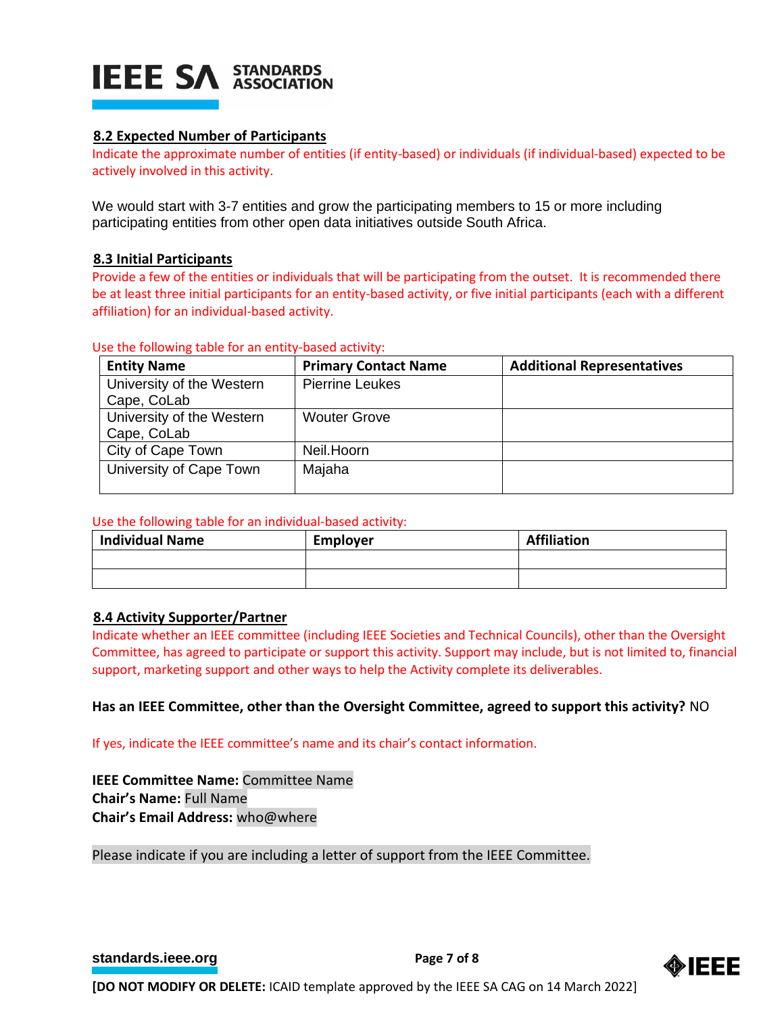

### **8.2 Expected Number of Participants**

Indicate the approximate number of entities (if entity-based) or individuals (if individual-based) expected to be actively involved in this activity.

We would start with 3-7 entities and grow the participating members to 15 or more including participating entities from other open data initiatives outside South Africa.

#### **8.3 Initial Participants**

Provide a few of the entities or individuals that will be participating from the outset. It is recommended there be at least three initial participants for an entity-based activity, or five initial participants (each with a different affiliation) for an individual-based activity.

#### Use the following table for an entity-based activity:

| <b>Entity Name</b>        | <b>Primary Contact Name</b> | <b>Additional Representatives</b> |
|---------------------------|-----------------------------|-----------------------------------|
| University of the Western | <b>Pierrine Leukes</b>      |                                   |
| Cape, CoLab               |                             |                                   |
| University of the Western | <b>Wouter Grove</b>         |                                   |
| Cape, CoLab               |                             |                                   |
| City of Cape Town         | Neil.Hoorn                  |                                   |
| University of Cape Town   | Majaha                      |                                   |
|                           |                             |                                   |

#### Use the following table for an individual-based activity:

| <b>Individual Name</b> | <b>Employer</b> | <b>Affiliation</b> |
|------------------------|-----------------|--------------------|
|                        |                 |                    |
|                        |                 |                    |

#### **8.4 Activity Supporter/Partner**

Indicate whether an IEEE committee (including IEEE Societies and Technical Councils), other than the Oversight Committee, has agreed to participate or support this activity. Support may include, but is not limited to, financial support, marketing support and other ways to help the Activity complete its deliverables.

#### **Has an IEEE Committee, other than the Oversight Committee, agreed to support this activity?** NO

If yes, indicate the IEEE committee's name and its chair's contact information.

**IEEE Committee Name:** Committee Name **Chair's Name:** Full Name **Chair's Email Address:** who@where

Please indicate if you are including a letter of support from the IEEE Committee.

**[standards.ieee.org](http://standards.ieee.org/) EXECUTE: Page 7 of 8**